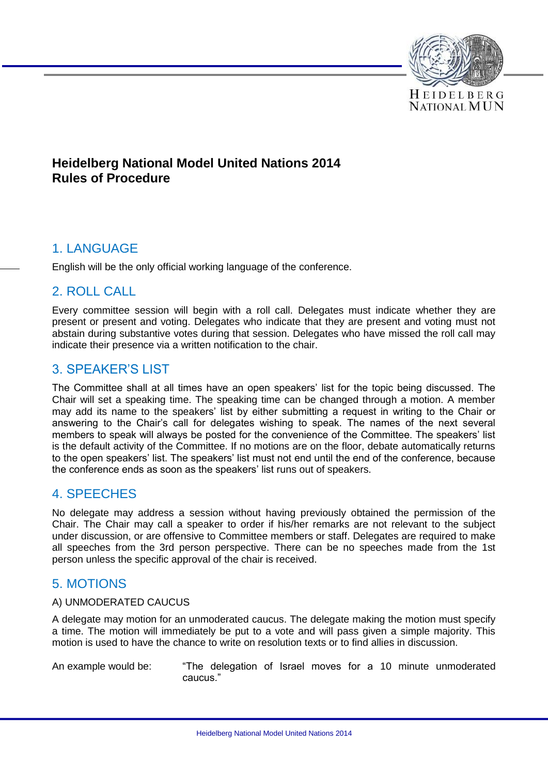

## **Heidelberg National Model United Nations 2014 Rules of Procedure**

## 1. LANGUAGE

English will be the only official working language of the conference.

## 2. ROLL CALL

Every committee session will begin with a roll call. Delegates must indicate whether they are present or present and voting. Delegates who indicate that they are present and voting must not abstain during substantive votes during that session. Delegates who have missed the roll call may indicate their presence via a written notification to the chair.

## 3. SPEAKER'S LIST

The Committee shall at all times have an open speakers' list for the topic being discussed. The Chair will set a speaking time. The speaking time can be changed through a motion. A member may add its name to the speakers' list by either submitting a request in writing to the Chair or answering to the Chair's call for delegates wishing to speak. The names of the next several members to speak will always be posted for the convenience of the Committee. The speakers' list is the default activity of the Committee. If no motions are on the floor, debate automatically returns to the open speakers' list. The speakers' list must not end until the end of the conference, because the conference ends as soon as the speakers' list runs out of speakers.

## 4. SPEECHES

No delegate may address a session without having previously obtained the permission of the Chair. The Chair may call a speaker to order if his/her remarks are not relevant to the subject under discussion, or are offensive to Committee members or staff. Delegates are required to make all speeches from the 3rd person perspective. There can be no speeches made from the 1st person unless the specific approval of the chair is received.

# 5. MOTIONS

### A) UNMODERATED CAUCUS

A delegate may motion for an unmoderated caucus. The delegate making the motion must specify a time. The motion will immediately be put to a vote and will pass given a simple majority. This motion is used to have the chance to write on resolution texts or to find allies in discussion.

An example would be: "The delegation of Israel moves for a 10 minute unmoderated caucus."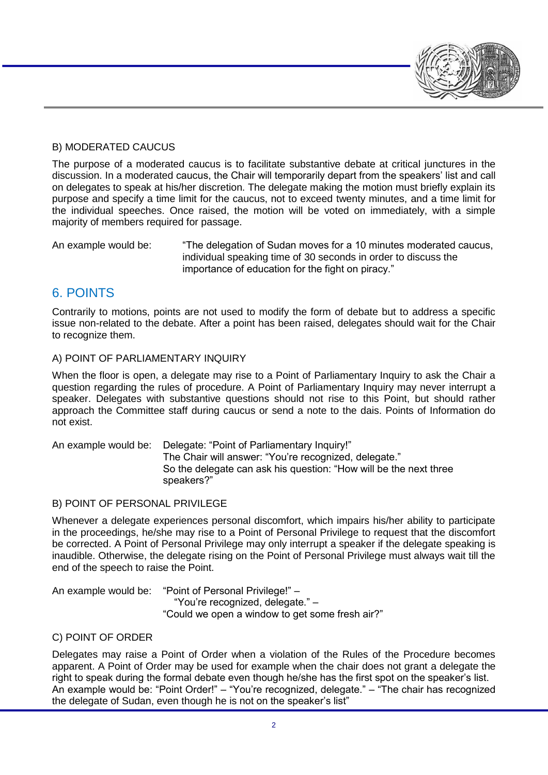### B) MODERATED CAUCUS

The purpose of a moderated caucus is to facilitate substantive debate at critical junctures in the discussion. In a moderated caucus, the Chair will temporarily depart from the speakers' list and call on delegates to speak at his/her discretion. The delegate making the motion must briefly explain its purpose and specify a time limit for the caucus, not to exceed twenty minutes, and a time limit for the individual speeches. Once raised, the motion will be voted on immediately, with a simple majority of members required for passage.

An example would be: "The delegation of Sudan moves for a 10 minutes moderated caucus, individual speaking time of 30 seconds in order to discuss the importance of education for the fight on piracy."

# 6. POINTS

Contrarily to motions, points are not used to modify the form of debate but to address a specific issue non-related to the debate. After a point has been raised, delegates should wait for the Chair to recognize them.

### A) POINT OF PARLIAMENTARY INQUIRY

When the floor is open, a delegate may rise to a Point of Parliamentary Inquiry to ask the Chair a question regarding the rules of procedure. A Point of Parliamentary Inquiry may never interrupt a speaker. Delegates with substantive questions should not rise to this Point, but should rather approach the Committee staff during caucus or send a note to the dais. Points of Information do not exist.

An example would be: Delegate: "Point of Parliamentary Inquiry!" The Chair will answer: "You're recognized, delegate." So the delegate can ask his question: "How will be the next three speakers?"

### B) POINT OF PERSONAL PRIVILEGE

Whenever a delegate experiences personal discomfort, which impairs his/her ability to participate in the proceedings, he/she may rise to a Point of Personal Privilege to request that the discomfort be corrected. A Point of Personal Privilege may only interrupt a speaker if the delegate speaking is inaudible. Otherwise, the delegate rising on the Point of Personal Privilege must always wait till the end of the speech to raise the Point.

An example would be: "Point of Personal Privilege!" – "You're recognized, delegate." – "Could we open a window to get some fresh air?"

### C) POINT OF ORDER

Delegates may raise a Point of Order when a violation of the Rules of the Procedure becomes apparent. A Point of Order may be used for example when the chair does not grant a delegate the right to speak during the formal debate even though he/she has the first spot on the speaker's list. An example would be: "Point Order!" – "You're recognized, delegate." – "The chair has recognized the delegate of Sudan, even though he is not on the speaker's list"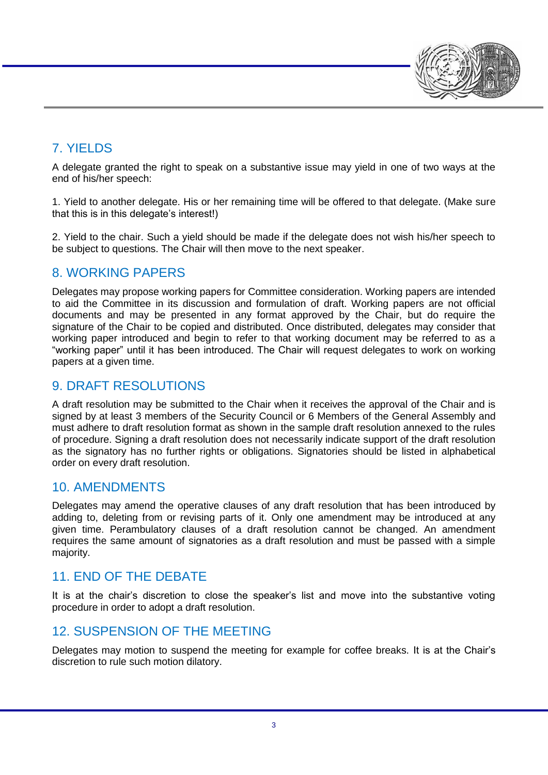

# 7. YIELDS

A delegate granted the right to speak on a substantive issue may yield in one of two ways at the end of his/her speech:

1. Yield to another delegate. His or her remaining time will be offered to that delegate. (Make sure that this is in this delegate's interest!)

2. Yield to the chair. Such a yield should be made if the delegate does not wish his/her speech to be subject to questions. The Chair will then move to the next speaker.

## 8. WORKING PAPERS

Delegates may propose working papers for Committee consideration. Working papers are intended to aid the Committee in its discussion and formulation of draft. Working papers are not official documents and may be presented in any format approved by the Chair, but do require the signature of the Chair to be copied and distributed. Once distributed, delegates may consider that working paper introduced and begin to refer to that working document may be referred to as a "working paper" until it has been introduced. The Chair will request delegates to work on working papers at a given time.

## 9. DRAFT RESOLUTIONS

A draft resolution may be submitted to the Chair when it receives the approval of the Chair and is signed by at least 3 members of the Security Council or 6 Members of the General Assembly and must adhere to draft resolution format as shown in the sample draft resolution annexed to the rules of procedure. Signing a draft resolution does not necessarily indicate support of the draft resolution as the signatory has no further rights or obligations. Signatories should be listed in alphabetical order on every draft resolution.

## 10. AMENDMENTS

Delegates may amend the operative clauses of any draft resolution that has been introduced by adding to, deleting from or revising parts of it. Only one amendment may be introduced at any given time. Perambulatory clauses of a draft resolution cannot be changed. An amendment requires the same amount of signatories as a draft resolution and must be passed with a simple majority.

# 11. END OF THE DEBATE

It is at the chair's discretion to close the speaker's list and move into the substantive voting procedure in order to adopt a draft resolution.

## 12. SUSPENSION OF THE MEETING

Delegates may motion to suspend the meeting for example for coffee breaks. It is at the Chair's discretion to rule such motion dilatory.